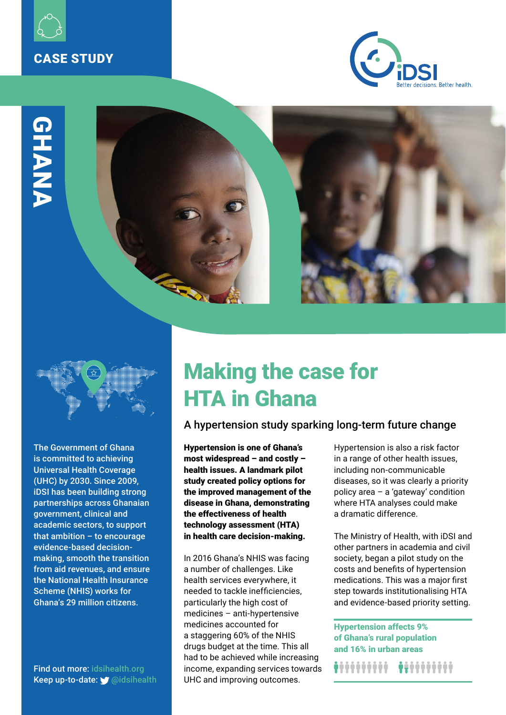







The Government of Ghana is committed to achieving Universal Health Coverage (UHC) by 2030. Since 2009, iDSI has been building strong partnerships across Ghanaian government, clinical and academic sectors, to support that ambition – to encourage evidence-based decisionmaking, smooth the transition from aid revenues, and ensure the National Health Insurance Scheme (NHIS) works for

Find out more: [idsihealth.org](https://www.idsihealth.org/our-impact/ghana/) Keep up-to-date: *ii* [@idsihealth](https://twitter.com/idsihealth)

# Making the case for HTA in Ghana

## A hypertension study sparking long-term future change

Hypertension is one of Ghana's most widespread – and costly – health issues. A landmark pilot study created policy options for the improved management of the disease in Ghana, demonstrating the effectiveness of health technology assessment (HTA) in health care decision-making.

In 2016 Ghana's NHIS was facing a number of challenges. Like health services everywhere, it needed to tackle inefficiencies, particularly the high cost of medicines – anti-hypertensive medicines accounted for a staggering 60% of the NHIS drugs budget at the time. This all had to be achieved while increasing income, expanding services towards UHC and improving outcomes.

Hypertension is also a risk factor in a range of other health issues, including non-communicable diseases, so it was clearly a priority policy area – a 'gateway' condition where HTA analyses could make a dramatic difference.

The Ministry of Health, with iDSI and other partners in academia and civil society, began a pilot study on the costs and benefits of hypertension medications. This was a major first step towards institutionalising HTA and evidence-based priority setting.

Hypertension affects 9% of Ghana's rural population and 16% in urban areas

*\*\*\*\*\*\*\*\*\*\**\*\*\*\*\*\*\*\*\*